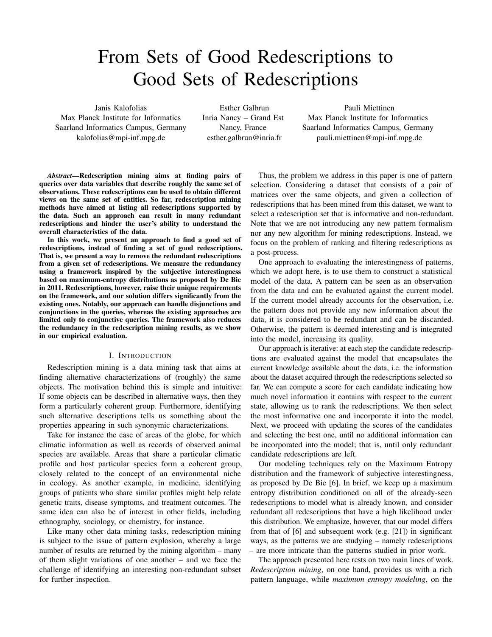# From Sets of Good Redescriptions to Good Sets of Redescriptions

Janis Kalofolias Max Planck Institute for Informatics Saarland Informatics Campus, Germany kalofolias@mpi-inf.mpg.de

Esther Galbrun Inria Nancy – Grand Est Nancy, France esther.galbrun@inria.fr

Pauli Miettinen Max Planck Institute for Informatics Saarland Informatics Campus, Germany pauli.miettinen@mpi-inf.mpg.de

*Abstract*—Redescription mining aims at finding pairs of queries over data variables that describe roughly the same set of observations. These redescriptions can be used to obtain different views on the same set of entities. So far, redescription mining methods have aimed at listing all redescriptions supported by the data. Such an approach can result in many redundant redescriptions and hinder the user's ability to understand the overall characteristics of the data.

In this work, we present an approach to find a good set of redescriptions, instead of finding a set of good redescriptions. That is, we present a way to remove the redundant redescriptions from a given set of redescriptions. We measure the redundancy using a framework inspired by the subjective interestingness based on maximum-entropy distributions as proposed by De Bie in 2011. Redescriptions, however, raise their unique requirements on the framework, and our solution differs significantly from the existing ones. Notably, our approach can handle disjunctions and conjunctions in the queries, whereas the existing approaches are limited only to conjunctive queries. The framework also reduces the redundancy in the redescription mining results, as we show in our empirical evaluation.

## I. INTRODUCTION

Redescription mining is a data mining task that aims at finding alternative characterizations of (roughly) the same objects. The motivation behind this is simple and intuitive: If some objects can be described in alternative ways, then they form a particularly coherent group. Furthermore, identifying such alternative descriptions tells us something about the properties appearing in such synonymic characterizations.

Take for instance the case of areas of the globe, for which climatic information as well as records of observed animal species are available. Areas that share a particular climatic profile and host particular species form a coherent group, closely related to the concept of an environmental niche in ecology. As another example, in medicine, identifying groups of patients who share similar profiles might help relate genetic traits, disease symptoms, and treatment outcomes. The same idea can also be of interest in other fields, including ethnography, sociology, or chemistry, for instance.

Like many other data mining tasks, redescription mining is subject to the issue of pattern explosion, whereby a large number of results are returned by the mining algorithm – many of them slight variations of one another – and we face the challenge of identifying an interesting non-redundant subset for further inspection.

Thus, the problem we address in this paper is one of pattern selection. Considering a dataset that consists of a pair of matrices over the same objects, and given a collection of redescriptions that has been mined from this dataset, we want to select a redescription set that is informative and non-redundant. Note that we are not introducing any new pattern formalism nor any new algorithm for mining redescriptions. Instead, we focus on the problem of ranking and filtering redescriptions as a post-process.

One approach to evaluating the interestingness of patterns, which we adopt here, is to use them to construct a statistical model of the data. A pattern can be seen as an observation from the data and can be evaluated against the current model. If the current model already accounts for the observation, i.e. the pattern does not provide any new information about the data, it is considered to be redundant and can be discarded. Otherwise, the pattern is deemed interesting and is integrated into the model, increasing its quality.

Our approach is iterative: at each step the candidate redescriptions are evaluated against the model that encapsulates the current knowledge available about the data, i.e. the information about the dataset acquired through the redescriptions selected so far. We can compute a score for each candidate indicating how much novel information it contains with respect to the current state, allowing us to rank the redescriptions. We then select the most informative one and incorporate it into the model. Next, we proceed with updating the scores of the candidates and selecting the best one, until no additional information can be incorporated into the model; that is, until only redundant candidate redescriptions are left.

Our modeling techniques rely on the Maximum Entropy distribution and the framework of subjective interestingness, as proposed by De Bie [6]. In brief, we keep up a maximum entropy distribution conditioned on all of the already-seen redescriptions to model what is already known, and consider redundant all redescriptions that have a high likelihood under this distribution. We emphasize, however, that our model differs from that of [6] and subsequent work (e.g. [21]) in significant ways, as the patterns we are studying – namely redescriptions – are more intricate than the patterns studied in prior work.

The approach presented here rests on two main lines of work. *Redescription mining*, on one hand, provides us with a rich pattern language, while *maximum entropy modeling*, on the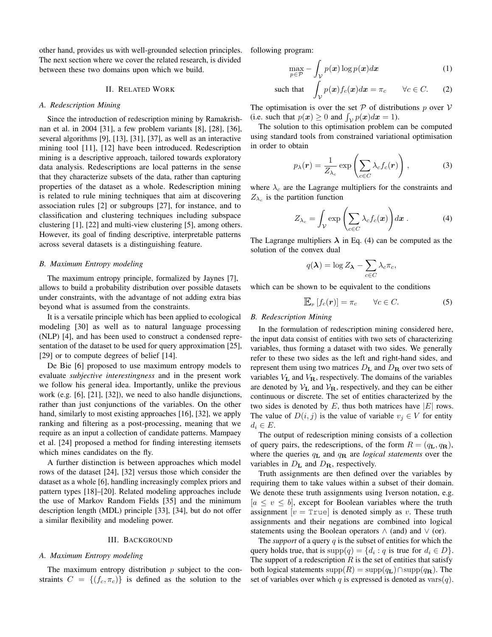other hand, provides us with well-grounded selection principles. The next section where we cover the related research, is divided between these two domains upon which we build.

## II. RELATED WORK

## *A. Redescription Mining*

Since the introduction of redescription mining by Ramakrishnan et al. in 2004 [31], a few problem variants [8], [28], [36], several algorithms [9], [13], [31], [37], as well as an interactive mining tool [11], [12] have been introduced. Redescription mining is a descriptive approach, tailored towards exploratory data analysis. Redescriptions are local patterns in the sense that they characterize subsets of the data, rather than capturing properties of the dataset as a whole. Redescription mining is related to rule mining techniques that aim at discovering association rules [2] or subgroups [27], for instance, and to classification and clustering techniques including subspace clustering [1], [22] and multi-view clustering [5], among others. However, its goal of finding descriptive, interpretable patterns across several datasets is a distinguishing feature.

## *B. Maximum Entropy modeling*

The maximum entropy principle, formalized by Jaynes [7], allows to build a probability distribution over possible datasets under constraints, with the advantage of not adding extra bias beyond what is assumed from the constraints.

It is a versatile principle which has been applied to ecological modeling [30] as well as to natural language processing (NLP) [4], and has been used to construct a condensed representation of the dataset to be used for query approximation [25], [29] or to compute degrees of belief [14].

De Bie [6] proposed to use maximum entropy models to evaluate *subjective interestingness* and in the present work we follow his general idea. Importantly, unlike the previous work (e.g. [6], [21], [32]), we need to also handle disjunctions, rather than just conjunctions of the variables. On the other hand, similarly to most existing approaches [16], [32], we apply ranking and filtering as a post-processing, meaning that we require as an input a collection of candidate patterns. Mampaey et al. [24] proposed a method for finding interesting itemsets which mines candidates on the fly.

A further distinction is between approaches which model rows of the dataset [24], [32] versus those which consider the dataset as a whole [6], handling increasingly complex priors and pattern types [18]–[20]. Related modeling approaches include the use of Markov Random Fields [35] and the minimum description length (MDL) principle [33], [34], but do not offer a similar flexibility and modeling power.

#### III. BACKGROUND

#### *A. Maximum Entropy modeling*

The maximum entropy distribution  $p$  subject to the constraints  $C = \{(f_c, \pi_c)\}\$ is defined as the solution to the

following program:

 $\mathbf{r}$  $\boldsymbol{\eta}$ 

$$
\max_{\mathbf{p} \in \mathcal{P}} - \int_{\mathcal{V}} p(\mathbf{x}) \log p(\mathbf{x}) d\mathbf{x} \tag{1}
$$

such that 
$$
\int_{\mathcal{V}} p(\mathbf{x}) f_c(\mathbf{x}) d\mathbf{x} = \pi_c \quad \forall c \in C. \quad (2)
$$

The optimisation is over the set  $P$  of distributions p over  $V$ (i.e. such that  $p(x) \ge 0$  and  $\int_{\mathcal{V}} p(x) dx = 1$ ).

The solution to this optimisation problem can be computed using standard tools from constrained variational optimisation in order to obtain

$$
p_{\lambda}(\boldsymbol{r}) = \frac{1}{Z_{\lambda_c}} \exp\left(\sum_{c \in C} \lambda_c f_c(\boldsymbol{r})\right), \tag{3}
$$

where  $\lambda_c$  are the Lagrange multipliers for the constraints and  $Z_{\lambda_c}$  is the partition function

$$
Z_{\lambda_c} = \int_{\mathcal{V}} \exp\left(\sum_{c \in C} \lambda_c f_c(\boldsymbol{x})\right) d\boldsymbol{x} . \tag{4}
$$

The Lagrange multipliers  $\lambda$  in Eq. (4) can be computed as the solution of the convex dual

$$
q(\boldsymbol{\lambda}) = \log Z_{\boldsymbol{\lambda}} - \sum_{c \in C} \lambda_c \pi_c,
$$

which can be shown to be equivalent to the conditions

$$
\mathbb{E}_p[f_c(\mathbf{r})] = \pi_c \qquad \forall c \in C. \tag{5}
$$

## *B. Redescription Mining*

In the formulation of redescription mining considered here, the input data consist of entities with two sets of characterizing variables, thus forming a dataset with two sides. We generally refer to these two sides as the left and right-hand sides, and represent them using two matrices  $D_{\mathbf{L}}$  and  $D_{\mathbf{R}}$  over two sets of variables  $V_{\mathbf{L}}$  and  $V_{\mathbf{R}}$ , respectively. The domains of the variables are denoted by  $V_{\rm L}$  and  $V_{\rm R}$ , respectively, and they can be either continuous or discrete. The set of entities characterized by the two sides is denoted by  $E$ , thus both matrices have  $|E|$  rows. The value of  $D(i, j)$  is the value of variable  $v_j \in V$  for entity  $d_i \in E$ .

The output of redescription mining consists of a collection of query pairs, the redescriptions, of the form  $R = (q_L, q_R)$ , where the queries  $q_L$  and  $q_R$  are *logical statements* over the variables in  $D_{\mathbf{L}}$  and  $D_{\mathbf{R}}$ , respectively.

Truth assignments are then defined over the variables by requiring them to take values within a subset of their domain. We denote these truth assignments using Iverson notation, e.g.  $[a \le v \le b]$ , except for Boolean variables where the truth assignment  $[v = True]$  is denoted simply as v. These truth assignments and their negations are combined into logical statements using the Boolean operators  $\land$  (and) and  $\lor$  (or).

The *support* of a query q is the subset of entities for which the query holds true, that is  $\text{supp}(q) = \{d_i : q \text{ is true for } d_i \in D\}.$ The support of a redescription  $R$  is the set of entities that satisfy both logical statements supp $(R) = \text{supp}(q_L) \cap \text{supp}(q_R)$ . The set of variables over which q is expressed is denoted as  $\text{vars}(q)$ .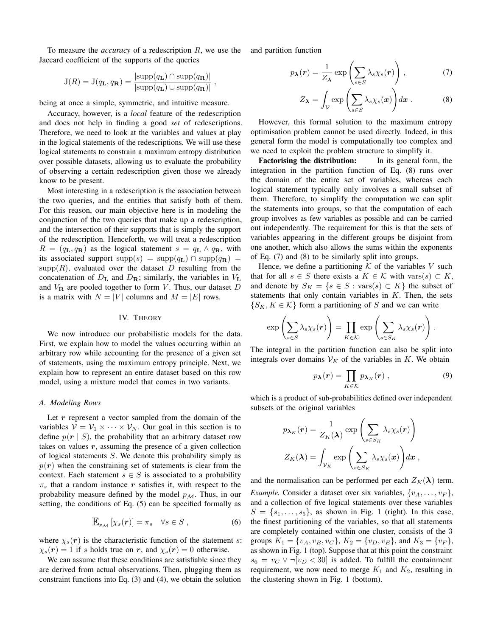To measure the *accuracy* of a redescription R, we use the and partition function Jaccard coefficient of the supports of the queries

,

$$
J(R) = J(q_{\mathbf{L}}, q_{\mathbf{R}}) = \frac{|\text{supp}(q_{\mathbf{L}}) \cap \text{supp}(q_{\mathbf{R}})|}{|\text{supp}(q_{\mathbf{L}}) \cup \text{supp}(q_{\mathbf{R}})|}
$$

being at once a simple, symmetric, and intuitive measure.

Accuracy, however, is a *local* feature of the redescription and does not help in finding a good *set* of redescriptions. Therefore, we need to look at the variables and values at play in the logical statements of the redescriptions. We will use these logical statements to constrain a maximum entropy distribution over possible datasets, allowing us to evaluate the probability of observing a certain redescription given those we already know to be present.

Most interesting in a redescription is the association between the two queries, and the entities that satisfy both of them. For this reason, our main objective here is in modeling the conjunction of the two queries that make up a redescription, and the intersection of their supports that is simply the support of the redescription. Henceforth, we will treat a redescription  $R = (q_L, q_R)$  as the logical statement  $s = q_L \wedge q_R$ , with its associated support supp(s) = supp(q<sub>L</sub>) ∩ supp(q<sub>R</sub>) =  $supp(R)$ , evaluated over the dataset D resulting from the concatenation of  $D_{\text{L}}$  and  $D_{\text{R}}$ ; similarly, the variables in  $V_{\text{L}}$ and  $V_{\rm R}$  are pooled together to form V. Thus, our dataset  $D$ is a matrix with  $N = |V|$  columns and  $M = |E|$  rows.

## IV. THEORY

We now introduce our probabilistic models for the data. First, we explain how to model the values occurring within an arbitrary row while accounting for the presence of a given set of statements, using the maximum entropy principle. Next, we explain how to represent an entire dataset based on this row model, using a mixture model that comes in two variants.

#### *A. Modeling Rows*

Let  $r$  represent a vector sampled from the domain of the variables  $V = V_1 \times \cdots \times V_N$ . Our goal in this section is to define  $p(r | S)$ , the probability that an arbitrary dataset row takes on values  $r$ , assuming the presence of a given collection of logical statements S. We denote this probability simply as  $p(r)$  when the constraining set of statements is clear from the context. Each statement  $s \in S$  is associated to a probability  $\pi_s$  that a random instance r satisfies it, with respect to the probability measure defined by the model  $p_{\mathcal{M}}$ . Thus, in our setting, the conditions of Eq. (5) can be specified formally as

$$
\mathbb{E}_{p_{\mathcal{M}}} \left[ \chi_s(\boldsymbol{r}) \right] = \pi_s \quad \forall s \in S , \tag{6}
$$

where  $\chi_s(\mathbf{r})$  is the characteristic function of the statement s:  $\chi_s(\mathbf{r}) = 1$  if s holds true on r, and  $\chi_s(\mathbf{r}) = 0$  otherwise.

We can assume that these conditions are satisfiable since they are derived from actual observations. Then, plugging them as constraint functions into Eq. (3) and (4), we obtain the solution

$$
p_{\lambda}(r) = \frac{1}{Z_{\lambda}} \exp\left(\sum_{s \in S} \lambda_s \chi_s(r)\right), \tag{7}
$$

$$
Z_{\lambda} = \int_{\mathcal{V}} \exp\left(\sum_{s \in S} \lambda_s \chi_s(\boldsymbol{x})\right) d\boldsymbol{x} . \tag{8}
$$

However, this formal solution to the maximum entropy optimisation problem cannot be used directly. Indeed, in this general form the model is computationally too complex and we need to exploit the problem structure to simplify it.

Factorising the distribution: In its general form, the integration in the partition function of Eq. (8) runs over the domain of the entire set of variables, whereas each logical statement typically only involves a small subset of them. Therefore, to simplify the computation we can split the statements into groups, so that the computation of each group involves as few variables as possible and can be carried out independently. The requirement for this is that the sets of variables appearing in the different groups be disjoint from one another, which also allows the sums within the exponents of Eq. (7) and (8) to be similarly split into groups.

Hence, we define a partitioning  $K$  of the variables V such that for all  $s \in S$  there exists a  $K \in \mathcal{K}$  with vars $(s) \subset K$ , and denote by  $S_K = \{s \in S : \text{vars}(s) \subset K\}$  the subset of statements that only contain variables in  $K$ . Then, the sets  ${S_K, K \in \mathcal{K}}$  form a partitioning of S and we can write

$$
\exp\left(\sum_{s\in S}\lambda_s\chi_s(\boldsymbol{r})\right)=\prod_{K\in\mathcal{K}}\exp\left(\sum_{s\in S_K}\lambda_s\chi_s(\boldsymbol{r})\right).
$$

The integral in the partition function can also be split into integrals over domains  $\mathcal{V}_K$  of the variables in K. We obtain

$$
p_{\boldsymbol{\lambda}}(\boldsymbol{r}) = \prod_{K \in \mathcal{K}} p_{\boldsymbol{\lambda}_K}(\boldsymbol{r}) \,, \tag{9}
$$

which is a product of sub-probabilities defined over independent subsets of the original variables

$$
p_{\boldsymbol{\lambda}_K}(\boldsymbol{r}) = \frac{1}{Z_K(\boldsymbol{\lambda})} \exp\left(\sum_{s \in S_K} \lambda_s \chi_s(\boldsymbol{r})\right)
$$

$$
Z_K(\boldsymbol{\lambda}) = \int_{\mathcal{V}_K} \exp\left(\sum_{s \in S_K} \lambda_s \chi_s(\boldsymbol{x})\right) d\boldsymbol{x},
$$

and the normalisation can be performed per each  $Z_K(\lambda)$  term. *Example.* Consider a dataset over six variables,  $\{v_A, \ldots, v_F\}$ , and a collection of five logical statements over these variables  $S = \{s_1, \ldots, s_5\}$ , as shown in Fig. 1 (right). In this case, the finest partitioning of the variables, so that all statements are completely contained within one cluster, consists of the 3 groups  $K_1 = \{v_A, v_B, v_C\}$ ,  $K_2 = \{v_D, v_E\}$ , and  $K_3 = \{v_F\}$ , as shown in Fig. 1 (top). Suppose that at this point the constraint  $s_6 = v_C \vee \neg [v_D < 30]$  is added. To fulfill the containment requirement, we now need to merge  $K_1$  and  $K_2$ , resulting in the clustering shown in Fig. 1 (bottom).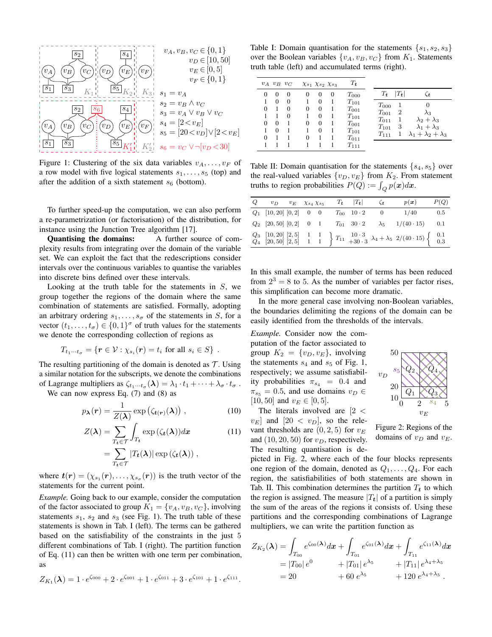

Figure 1: Clustering of the six data variables  $v_A, \ldots, v_F$  of a row model with five logical statements  $s_1, \ldots, s_5$  (top) and after the addition of a sixth statement  $s<sub>6</sub>$  (bottom).

To further speed-up the computation, we can also perform a re-parametrization (or factorisation) of the distribution, for instance using the Junction Tree algorithm [17].

Quantising the domains: A further source of complexity results from integrating over the domain of the variable set. We can exploit the fact that the redescriptions consider intervals over the continuous variables to quantise the variables into discrete bins defined over these intervals.

Looking at the truth table for the statements in  $S$ , we group together the regions of the domain where the same combination of statements are satisfied. Formally, adopting an arbitrary ordering  $s_1, \ldots, s_\sigma$  of the statements in S, for a vector  $(t_1, \ldots, t_{\sigma}) \in \{0, 1\}^{\sigma}$  of truth values for the statements we denote the corresponding collection of regions as

$$
T_{t_1\cdots t_{\sigma}} = \{ \mathbf{r} \in \mathcal{V} : \chi_{s_i}(\mathbf{r}) = t_i \text{ for all } s_i \in S \} .
$$

The resulting partitioning of the domain is denoted as  $\mathcal T$ . Using a similar notation for the subscripts, we denote the combinations of Lagrange multipliers as  $\zeta_{t_1\cdots t_\sigma}(\lambda) = \lambda_1 \cdot t_1 + \cdots + \lambda_\sigma \cdot t_\sigma$ .

We can now express Eq. (7) and (8) as

$$
p_{\boldsymbol{\lambda}}(\boldsymbol{r}) = \frac{1}{Z(\boldsymbol{\lambda})} \exp\left(\zeta_{\boldsymbol{t}(\boldsymbol{r})}(\boldsymbol{\lambda})\right), \tag{10}
$$

$$
Z(\lambda) = \sum_{T_t \in \mathcal{T}} \int_{T_t} \exp\left(\zeta_t(\lambda)\right) dx \qquad (11)
$$

$$
= \sum_{T_t \in \mathcal{T}} |T_t(\lambda)| \exp\left(\zeta_t(\lambda)\right),
$$

where  $t(\mathbf{r}) = (\chi_{s_1}(\mathbf{r}), \dots, \chi_{s_\sigma}(\mathbf{r}))$  is the truth vector of the statements for the current point.

*Example.* Going back to our example, consider the computation of the factor associated to group  $K_1 = \{v_A, v_B, v_C\}$ , involving statements  $s_1$ ,  $s_2$  and  $s_3$  (see Fig. 1). The truth table of these statements is shown in Tab. I (left). The terms can be gathered based on the satisfiability of the constraints in the just 5 different combinations of Tab. I (right). The partition function of Eq. (11) can then be written with one term per combination, as

$$
Z_{K_1}(\lambda) = 1 \cdot e^{\zeta_{000}} + 2 \cdot e^{\zeta_{001}} + 1 \cdot e^{\zeta_{011}} + 3 \cdot e^{\zeta_{101}} + 1 \cdot e^{\zeta_{111}}.
$$

Table I: Domain quantisation for the statements  $\{s_1, s_2, s_3\}$ over the Boolean variables  $\{v_A, v_B, v_C\}$  from  $K_1$ . Statements truth table (left) and accumulated terms (right).

|   |   | $v_A$ $v_B$ $v_C$ | $\chi_{s_1} \chi_{s_2} \chi_{s_3}$ |          |          | $T_{t}$   |           |                         |                                     |
|---|---|-------------------|------------------------------------|----------|----------|-----------|-----------|-------------------------|-------------------------------------|
| 0 |   | $\Omega$          | 0                                  | $\Omega$ | $\Omega$ | $T_{000}$ | $T_t$     | $ T_t $                 | $\varsigma_t$                       |
|   | 0 | $\Omega$          |                                    | 0        |          | $T_{101}$ | $T_{000}$ |                         | 0                                   |
| 0 |   | 0                 | $\Omega$                           | $\theta$ |          | $T_{001}$ | $T_{001}$ | $\overline{\mathbf{2}}$ | $\lambda_3$                         |
|   |   | 0                 |                                    | $\Omega$ |          | $T_{101}$ |           |                         |                                     |
| 0 | 0 |                   | 0                                  | $\Omega$ |          | $T_{001}$ | $T_{011}$ |                         | $\lambda_2 + \lambda_3$             |
|   | 0 |                   |                                    | $\theta$ |          | $T_{101}$ | $T_{101}$ | 3                       | $\lambda_1 + \lambda_3$             |
| 0 |   |                   | 0                                  |          |          | $T_{011}$ | $T_{111}$ |                         | $\lambda_1 + \lambda_2 + \lambda_3$ |
|   |   |                   |                                    |          |          | $T_{111}$ |           |                         |                                     |

Table II: Domain quantisation for the statements  $\{s_4, s_5\}$  over the real-valued variables  $\{v_D, v_E\}$  from  $K_2$ . From statement truths to region probabilities  $P(Q) := \int_Q p(\mathbf{x}) d\mathbf{x}$ .

| $Q$ $v_D$ $v_E$ $\chi_{s_4} \chi_{s_5}$ $T_t$ $ T_t $ $\zeta_t$ |  |  |  | p(x)                                                                                                                                                                                                                                                                       | P(Q) |
|-----------------------------------------------------------------|--|--|--|----------------------------------------------------------------------------------------------------------------------------------------------------------------------------------------------------------------------------------------------------------------------------|------|
|                                                                 |  |  |  | $Q_1$ [10, 20] [0, 2] 0 0 $T_{00}$ 10 · 2 0 1/40                                                                                                                                                                                                                           | 0.5  |
|                                                                 |  |  |  | $Q_2$ [20, 50] [0, 2] 0 1 $T_{01}$ 30 · 2 $\lambda_5$ 1/(40 · 15) 0.1                                                                                                                                                                                                      |      |
|                                                                 |  |  |  | $\begin{array}{c ccc} Q_3 & [10,20] & [2,5] & 1 & 1 \\ Q_4 & [20,50] & [2,5] & 1 & 1 \\ \end{array} \bigg\} \, T_{11} \, \begin{array}{c ccc} 10 \cdot 3 & \lambda_4 + \lambda_5 & 2/(40 \cdot 15) \left\{ \begin{array}{c} 0.1 \\ 0.3 \end{array} \right. \\ \end{array}$ |      |

In this small example, the number of terms has been reduced from  $2^3 = 8$  to 5. As the number of variables per factor rises, this simplification can become more dramatic.

In the more general case involving non-Boolean variables, the boundaries delimiting the regions of the domain can be easily identified from the thresholds of the intervals.

*Example.* Consider now the computation of the factor associated to group  $K_2 = \{v_D, v_E\}$ , involving the statements  $s_4$  and  $s_5$  of Fig. 1, respectively; we assume satisfiability probabilities  $\pi_{s_4} = 0.4$  and  $\pi_{s_5} = 0.5$ , and use domains  $v_D \in$ [10, 50] and  $v_E \in [0, 5]$ .

The literals involved are  $\left[2\right]$  $v_E$  and  $[20 < v_D]$ , so the relevant thresholds are  $(0, 2, 5)$  for  $v_E$ and  $(10, 20, 50)$  for  $v_D$ , respectively. The resulting quantisation is de-



Figure 2: Regions of the domains of  $v_D$  and  $v_E$ .

picted in Fig. 2, where each of the four blocks represents one region of the domain, denoted as  $Q_1, \ldots, Q_4$ . For each region, the satisfiabilities of both statements are shown in Tab. II. This combination determines the partition  $T_t$  to which the region is assigned. The measure  $|T_t|$  of a partition is simply the sum of the areas of the regions it consists of. Using these partitions and the corresponding combinations of Lagrange multipliers, we can write the partition function as

$$
Z_{K_2}(\lambda) = \int_{T_{00}} e^{\zeta_{00}(\lambda)} dx + \int_{T_{01}} e^{\zeta_{01}(\lambda)} dx + \int_{T_{11}} e^{\zeta_{11}(\lambda)} dx
$$
  
=  $|T_{00}| e^0 + |T_{01}| e^{\lambda_5} + |T_{11}| e^{\lambda_4 + \lambda_5}$   
= 20 + 60  $e^{\lambda_5}$  + 120  $e^{\lambda_4 + \lambda_5}$ .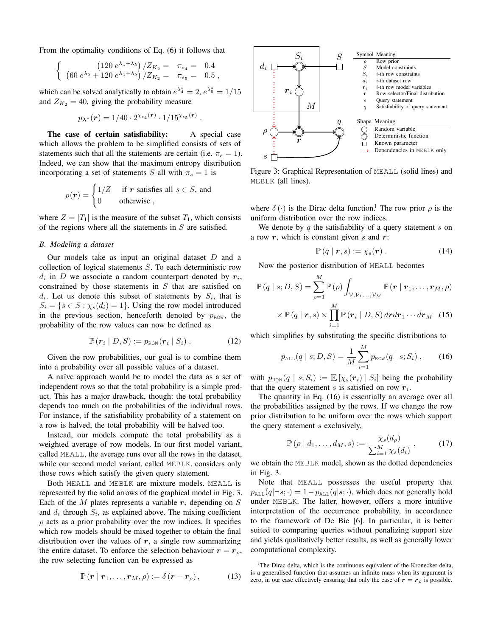From the optimality conditions of Eq. (6) it follows that

$$
\begin{cases}\n(120 e^{\lambda_4 + \lambda_5}) / Z_{K_2} = \pi_{s_4} = 0.4 \\
(60 e^{\lambda_5} + 120 e^{\lambda_4 + \lambda_5}) / Z_{K_2} = \pi_{s_5} = 0.5\n\end{cases}
$$

which can be solved analytically to obtain  $e^{\lambda_4^*} = 2$ ,  $e^{\lambda_5^*} = 1/15$ and  $Z_{K_2} = 40$ , giving the probability measure

$$
p_{\mathbf{\lambda}^*}(\mathbf{r}) = 1/40 \cdot 2^{\chi_{s_4}(\mathbf{r})} \cdot 1/15^{\chi_{s_5}(\mathbf{r})}.
$$

The case of certain satisfiability: A special case which allows the problem to be simplified consists of sets of statements such that all the statements are certain (i.e.  $\pi_s = 1$ ). Indeed, we can show that the maximum entropy distribution incorporating a set of statements S all with  $\pi_s = 1$  is

$$
p(\mathbf{r}) = \begin{cases} 1/Z & \text{if } \mathbf{r} \text{ satisfies all } s \in S, \text{ and} \\ 0 & \text{otherwise} \end{cases}
$$

where  $Z = |T_1|$  is the measure of the subset  $T_1$ , which consists of the regions where all the statements in  $S$  are satisfied.

## *B. Modeling a dataset*

Our models take as input an original dataset  $D$  and a collection of logical statements S. To each deterministic row  $d_i$  in D we associate a random counterpart denoted by  $r_i$ , constrained by those statements in  $S$  that are satisfied on  $d_i$ . Let us denote this subset of statements by  $S_i$ , that is  $S_i = \{s \in S : \chi_s(d_i) = 1\}$ . Using the row model introduced in the previous section, henceforth denoted by  $p_{\text{ROW}}$ , the probability of the row values can now be defined as

$$
\mathbb{P}(r_i | D, S) := p_{\text{Row}}(r_i | S_i).
$$
 (12)

Given the row probabilities, our goal is to combine them into a probability over all possible values of a dataset.

A naïve approach would be to model the data as a set of independent rows so that the total probability is a simple product. This has a major drawback, though: the total probability depends too much on the probabilities of the individual rows. For instance, if the satisfiability probability of a statement on a row is halved, the total probability will be halved too.

Instead, our models compute the total probability as a weighted average of row models. In our first model variant, called MEALL, the average runs over all the rows in the dataset, while our second model variant, called MEBLK, considers only those rows which satisfy the given query statement.

Both MEALL and MEBLK are mixture models. MEALL is represented by the solid arrows of the graphical model in Fig. 3. Each of the M plates represents a variable  $r_i$  depending on S and  $d_i$  through  $S_i$ , as explained above. The mixing coefficient  $\rho$  acts as a prior probability over the row indices. It specifies which row models should be mixed together to obtain the final distribution over the values of  $r$ , a single row summarizing the entire dataset. To enforce the selection behaviour  $r = r<sub>o</sub>$ , the row selecting function can be expressed as

$$
\mathbb{P}(r | r_1, \ldots, r_M, \rho) := \delta(r - r_\rho), \qquad (13)
$$



Figure 3: Graphical Representation of MEALL (solid lines) and MEBLK (all lines).

where  $\delta(\cdot)$  is the Dirac delta function.<sup>1</sup> The row prior  $\rho$  is the uniform distribution over the row indices.

We denote by q the satisfiability of a query statement s on a row  $r$ , which is constant given  $s$  and  $r$ :

$$
\mathbb{P}(q \mid r, s) := \chi_s(r) . \tag{14}
$$

Now the posterior distribution of MEALL becomes

$$
\mathbb{P}(q \mid s; D, S) = \sum_{\rho=1}^{M} \mathbb{P}(\rho) \int_{\mathcal{V}, \mathcal{V}_1, \dots, \mathcal{V}_M} \mathbb{P}(r \mid r_1, \dots, r_M, \rho)
$$

$$
\times \mathbb{P}(q \mid r, s) \times \prod_{i=1}^{M} \mathbb{P}(r_i \mid D, S) dr dr_1 \cdots dr_M \quad (15)
$$

which simplifies by substituting the specific distributions to

$$
p_{\text{ALL}}(q \mid s; D, S) = \frac{1}{M} \sum_{i=1}^{M} p_{\text{ROW}}(q \mid s; S_i), \quad (16)
$$

with  $p_{\text{ROM}}(q \mid s; S_i) := \mathbb{E}[\chi_s(r_i) \mid S_i]$  being the probability that the query statement  $s$  is satisfied on row  $r_i$ .

The quantity in Eq. (16) is essentially an average over all the probabilities assigned by the rows. If we change the row prior distribution to be uniform over the rows which support the query statement s exclusively,

$$
\mathbb{P}\left(\rho \mid d_1,\ldots,d_M,s\right) := \frac{\chi_s(d_\rho)}{\sum_{i=1}^M \chi_s(d_i)},\tag{17}
$$

we obtain the MEBLK model, shown as the dotted dependencies in Fig. 3.

Note that MEALL possesses the useful property that  $p_{\text{ALL}}(q|\neg s; \cdot) = 1 - p_{\text{ALL}}(q|s; \cdot)$ , which does not generally hold under MEBLK. The latter, however, offers a more intuitive interpretation of the occurrence probability, in accordance to the framework of De Bie [6]. In particular, it is better suited to comparing queries without penalizing support size and yields qualitatively better results, as well as generally lower computational complexity.

<sup>&</sup>lt;sup>1</sup>The Dirac delta, which is the continuous equivalent of the Kronecker delta, is a generalised function that assumes an infinite mass when its argument is zero, in our case effectively ensuring that only the case of  $r = r_{\rho}$  is possible.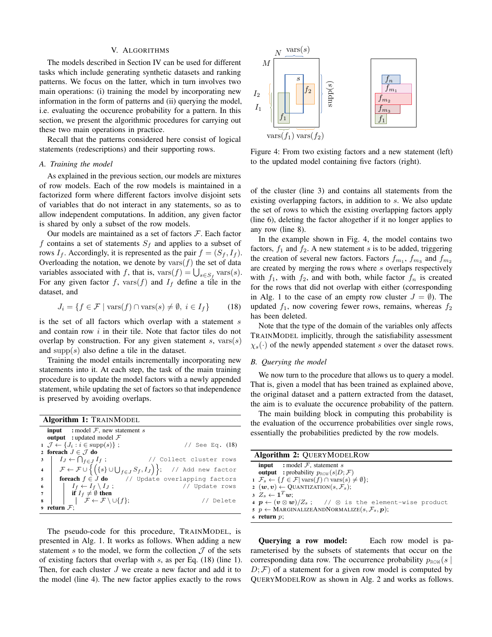#### V. ALGORITHMS

The models described in Section IV can be used for different tasks which include generating synthetic datasets and ranking patterns. We focus on the latter, which in turn involves two main operations: (i) training the model by incorporating new information in the form of patterns and (ii) querying the model, i.e. evaluating the occurence probability for a pattern. In this section, we present the algorithmic procedures for carrying out these two main operations in practice.

Recall that the patterns considered here consist of logical statements (redescriptions) and their supporting rows.

## *A. Training the model*

As explained in the previous section, our models are mixtures of row models. Each of the row models is maintained in a factorized form where different factors involve disjoint sets of variables that do not interact in any statements, so as to allow independent computations. In addition, any given factor is shared by only a subset of the row models.

Our models are maintained as a set of factors  $F$ . Each factor f contains a set of statements  $S_f$  and applies to a subset of rows  $I_f$ . Accordingly, it is represented as the pair  $f = (S_f, I_f)$ . Overloading the notation, we denote by  $\text{vars}(f)$  the set of data variables associated with f, that is,  $\text{vars}(f) = \bigcup_{s \in S_f} \text{vars}(s)$ . For any given factor f,  $\text{vars}(f)$  and  $I_f$  define a tile in the dataset, and

$$
J_i = \{ f \in \mathcal{F} \mid \text{vars}(f) \cap \text{vars}(s) \neq \emptyset, \ i \in I_f \} \tag{18}
$$

is the set of all factors which overlap with a statement  $s$ and contain row  $i$  in their tile. Note that factor tiles do not overlap by construction. For any given statement s,  $vars(s)$ and supp $(s)$  also define a tile in the dataset.

Training the model entails incrementally incorporating new statements into it. At each step, the task of the main training procedure is to update the model factors with a newly appended statement, while updating the set of factors so that independence is preserved by avoiding overlaps.

|                         | <b>Algorithm 1: TRAINMODEL</b>                                                                                                         |                         |  |  |  |  |  |
|-------------------------|----------------------------------------------------------------------------------------------------------------------------------------|-------------------------|--|--|--|--|--|
|                         | <b>input</b> : model $\mathcal{F}$ , new statement s                                                                                   |                         |  |  |  |  |  |
|                         | <b>output</b> : updated model $\mathcal F$                                                                                             |                         |  |  |  |  |  |
|                         | $1 \mathcal{J} \leftarrow \{J_i : i \in \text{supp}(s)\}\; ;$                                                                          | // See Eq. $(18)$       |  |  |  |  |  |
|                         | 2 foreach $J \in \mathcal{J}$ do                                                                                                       |                         |  |  |  |  |  |
| $\mathbf{3}$            | $I_J \leftarrow \bigcap_{f \in J} I_f$ ;                                                                                               | // Collect cluster rows |  |  |  |  |  |
|                         | 4 $\Big $ $\mathcal{F} \leftarrow \mathcal{F} \cup \Big\{ \Big( \{s\} \cup \bigcup_{f \in J} S_f, I_J \Big) \Big\};$ // Add new factor |                         |  |  |  |  |  |
| $\overline{\mathbf{s}}$ | <b>foreach</b> $f \in J$ <b>do</b> // Update overlapping factors                                                                       |                         |  |  |  |  |  |
| 6                       | $I_f \leftarrow I_f \setminus I_J;$                                                                                                    | // Update rows          |  |  |  |  |  |
| $\mathbf{7}$            | if $I_f \neq \emptyset$ then<br>$ \mathcal{F} \leftarrow \mathcal{F} \setminus \cup \{f\};$                                            |                         |  |  |  |  |  |
|                         |                                                                                                                                        | // Delete               |  |  |  |  |  |
|                         | return $F$ :                                                                                                                           |                         |  |  |  |  |  |

The pseudo-code for this procedure, TRAINMODEL, is presented in Alg. 1. It works as follows. When adding a new statement s to the model, we form the collection  $J$  of the sets of existing factors that overlap with s, as per Eq.  $(18)$  (line 1). Then, for each cluster  $J$  we create a new factor and add it to the model (line 4). The new factor applies exactly to the rows



Figure 4: From two existing factors and a new statement (left) to the updated model containing five factors (right).

of the cluster (line 3) and contains all statements from the existing overlapping factors, in addition to s. We also update the set of rows to which the existing overlapping factors apply (line 6), deleting the factor altogether if it no longer applies to any row (line 8).

In the example shown in Fig. 4, the model contains two factors,  $f_1$  and  $f_2$ . A new statement s is to be added, triggering the creation of several new factors. Factors  $f_{m_1}$ ,  $f_{m_3}$  and  $f_{m_2}$ are created by merging the rows where s overlaps respectively with  $f_1$ , with  $f_2$ , and with both, while factor  $f_n$  is created for the rows that did not overlap with either (corresponding in Alg. 1 to the case of an empty row cluster  $J = \emptyset$ ). The updated  $f_1$ , now covering fewer rows, remains, whereas  $f_2$ has been deleted.

Note that the type of the domain of the variables only affects TRAINMODEL implicitly, through the satisfiability assessment  $\chi_s(\cdot)$  of the newly appended statement s over the dataset rows.

#### *B. Querying the model*

We now turn to the procedure that allows us to query a model. That is, given a model that has been trained as explained above, the original dataset and a pattern extracted from the dataset, the aim is to evaluate the occurence probability of the pattern.

The main building block in computing this probability is the evaluation of the occurrence probabilities over single rows, essentially the probabilities predicted by the row models.

| <b>Algorithm 2: OUERYMODELROW</b>                                                                                   |
|---------------------------------------------------------------------------------------------------------------------|
| <b>input</b> : model $\mathcal{F}$ , statement s                                                                    |
| <b>output</b> : probability $p_{\text{ROW}}(s D; \mathcal{F})$                                                      |
| $\mathbf{1} \ \mathcal{F}_s \leftarrow \{f \in \mathcal{F}   \text{vars}(f) \cap \text{vars}(s) \neq \emptyset \};$ |
| 2 $(\boldsymbol{w}, \boldsymbol{v}) \leftarrow \text{QUANTIZATION}(s, \mathcal{F}_s);$                              |
| $3 Z_s \leftarrow \mathbf{1}^T w;$                                                                                  |
| 4 $p \leftarrow (v \otimes w)/Z_s$ ; // $\otimes$ is the element-wise product                                       |
| 5 $p \leftarrow \text{MARGINALIZEANDNORMALIZE}(s, \mathcal{F}_s, \mathbf{p});$                                      |
| 6 return $p$ ;                                                                                                      |

Querying a row model: Each row model is parameterised by the subsets of statements that occur on the corresponding data row. The occurrence probability  $p_{\text{Row}}(s)$  $D; F$ ) of a statement for a given row model is computed by QUERYMODELROW as shown in Alg. 2 and works as follows.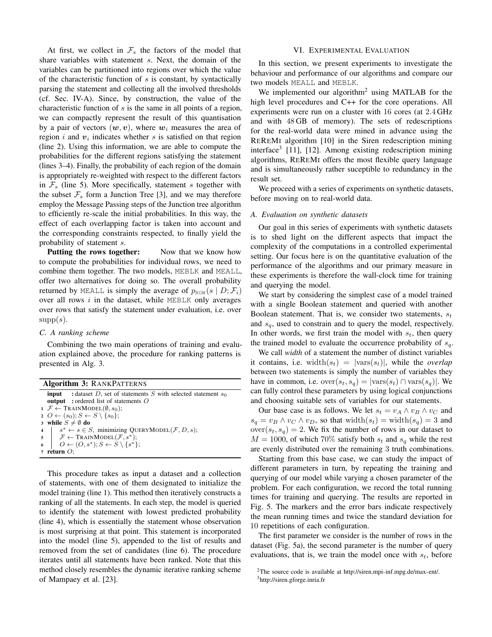At first, we collect in  $\mathcal{F}_s$  the factors of the model that share variables with statement s. Next, the domain of the variables can be partitioned into regions over which the value of the characteristic function of  $s$  is constant, by syntactically parsing the statement and collecting all the involved thresholds (cf. Sec. IV-A). Since, by construction, the value of the characteristic function of s is the same in all points of a region, we can compactly represent the result of this quantisation by a pair of vectors  $(w, v)$ , where  $w_i$  measures the area of region i and  $v_i$  indicates whether s is satisfied on that region (line 2). Using this information, we are able to compute the probabilities for the different regions satisfying the statement (lines 3–4). Finally, the probability of each region of the domain is appropriately re-weighted with respect to the different factors in  $\mathcal{F}_s$  (line 5). More specifically, statement s together with the subset  $\mathcal{F}_s$  form a Junction Tree [3], and we may therefore employ the Message Passing steps of the Junction tree algorithm to efficiently re-scale the initial probabilities. In this way, the effect of each overlapping factor is taken into account and the corresponding constraints respected, to finally yield the probability of statement s.

Putting the rows together: Now that we know how to compute the probabilities for individual rows, we need to combine them together. The two models, MEBLK and MEALL, offer two alternatives for doing so. The overall probability returned by MEALL is simply the average of  $p_{\text{Row}}(s \mid D; \mathcal{F}_i)$ over all rows  $i$  in the dataset, while MEBLK only averages over rows that satisfy the statement under evaluation, i.e. over  $supp(s)$ .

#### *C. A ranking scheme*

Combining the two main operations of training and evaluation explained above, the procedure for ranking patterns is presented in Alg. 3.

| <b>Algorithm 3: RANKPATTERNS</b>                                                                                                    |
|-------------------------------------------------------------------------------------------------------------------------------------|
| <b>input</b> : dataset D, set of statements S with selected statement $s_0$                                                         |
| <b>output</b> : ordered list of statements $O$                                                                                      |
| $I \mathcal{F} \leftarrow \text{TRAINMODEL}(\emptyset, s_0);$                                                                       |
| $2\ Q \leftarrow (s_0); S \leftarrow S \setminus \{s_0\};$                                                                          |
| 3 while $S \neq \emptyset$ do                                                                                                       |
| 4   $s^* \leftarrow s \in S$ , minimizing QUERYMODEL $(\mathcal{F}, D, s)$ ;                                                        |
| 5 $\mathcal{F} \leftarrow \text{TRAINMODEL}(\mathcal{F}, s^*)$ ;<br>6 $O \leftarrow (O, s^*)$ ; $S \leftarrow S \setminus \{s^*\};$ |
|                                                                                                                                     |
| 7 return $O$ :                                                                                                                      |

This procedure takes as input a dataset and a collection of statements, with one of them designated to initialize the model training (line 1). This method then iteratively constructs a ranking of all the statements. In each step, the model is queried to identify the statement with lowest predicted probability (line 4), which is essentially the statement whose observation is most surprising at that point. This statement is incorporated into the model (line 5), appended to the list of results and removed from the set of candidates (line 6). The procedure iterates until all statements have been ranked. Note that this method closely resembles the dynamic iterative ranking scheme of Mampaey et al. [23].

#### VI. EXPERIMENTAL EVALUATION

In this section, we present experiments to investigate the behaviour and performance of our algorithms and compare our two models MEALL and MEBLK.

We implemented our algorithm<sup>2</sup> using MATLAB for the high level procedures and C++ for the core operations. All experiments were run on a cluster with 16 cores (at 2.4 GHz and with 48 GB of memory). The sets of redescriptions for the real-world data were mined in advance using the REREMI algorithm [10] in the Siren redescription mining interface<sup>3</sup> [11], [12]. Among existing redescription mining algorithms, REREMI offers the most flexible query language and is simultaneously rather suceptible to redundancy in the result set.

We proceed with a series of experiments on synthetic datasets, before moving on to real-world data.

#### *A. Evaluation on synthetic datasets*

Our goal in this series of experiments with synthetic datasets is to shed light on the different aspects that impact the complexity of the computations in a controlled experimental setting. Our focus here is on the quantitative evaluation of the performance of the algorithms and our primary measure in these experiments is therefore the wall-clock time for training and querying the model.

We start by considering the simplest case of a model trained with a single Boolean statement and queried with another Boolean statement. That is, we consider two statements,  $s_t$ and  $s_q$ , used to constrain and to query the model, respectively. In other words, we first train the model with  $s_t$ , then query the trained model to evaluate the occurrence probability of  $s_q$ .

We call *width* of a statement the number of distinct variables it contains, i.e. width $(s_t) = |\text{vars}(s_t)|$ , while the *overlap* between two statements is simply the number of variables they have in common, i.e.  $over(s_t, s_q) = |\text{vars}(s_t) \cap \text{vars}(s_q)|$ . We can fully control these parameters by using logical conjunctions and choosing suitable sets of variables for our statements.

Our base case is as follows. We let  $s_t = v_A \wedge v_B \wedge v_C$  and  $s_q = v_B \wedge v_C \wedge v_D$ , so that width $(s_t) = \text{width}(s_q) = 3$  and  $over(s_t, s_q) = 2$ . We fix the number of rows in our dataset to  $M = 1000$ , of which 70% satisfy both  $s_t$  and  $s_q$  while the rest are evenly distributed over the remaining 3 truth combinations.

Starting from this base case, we can study the impact of different parameters in turn, by repeating the training and querying of our model while varying a chosen parameter of the problem. For each configuration, we record the total running times for training and querying. The results are reported in Fig. 5. The markers and the error bars indicate respectively the mean running times and twice the standard deviation for 10 repetitions of each configuration.

The first parameter we consider is the number of rows in the dataset (Fig. 5a), the second parameter is the number of query evaluations, that is, we train the model once with  $s_t$ , before

<sup>2</sup>The source code is available at http://siren.mpi-inf.mpg.de/max-ent/. <sup>3</sup>http://siren.gforge.inria.fr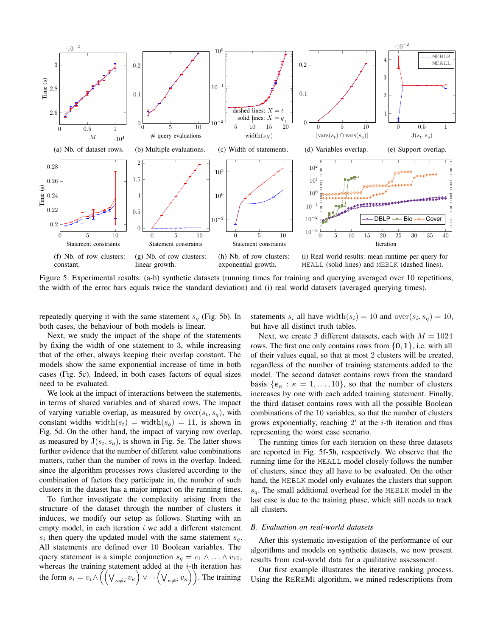

Figure 5: Experimental results: (a-h) synthetic datasets (running times for training and querying averaged over 10 repetitions, the width of the error bars equals twice the standard deviation) and (i) real world datasets (averaged querying times).

repeatedly querying it with the same statement  $s_q$  (Fig. 5b). In both cases, the behaviour of both models is linear.

Next, we study the impact of the shape of the statements by fixing the width of one statement to 3, while increasing that of the other, always keeping their overlap constant. The models show the same exponential increase of time in both cases (Fig. 5c). Indeed, in both cases factors of equal sizes need to be evaluated.

We look at the impact of interactions between the statements, in terms of shared variables and of shared rows. The impact of varying variable overlap, as measured by  $over(s_t, s_q)$ , with constant widths width $(s_t) = \text{width}(s_q) = 11$ , is shown in Fig. 5d. On the other hand, the impact of varying row overlap, as measured by  $J(s_t, s_q)$ , is shown in Fig. 5e. The latter shows further evidence that the number of different value combinations matters, rather than the number of rows in the overlap. Indeed, since the algorithm processes rows clustered according to the combination of factors they participate in, the number of such clusters in the dataset has a major impact on the running times.

To further investigate the complexity arising from the structure of the dataset through the number of clusters it induces, we modify our setup as follows. Starting with an empty model, in each iteration  $i$  we add a different statement  $s_i$  then query the updated model with the same statement  $s_q$ . All statements are defined over 10 Boolean variables. The query statement is a simple conjunction  $s_q = v_1 \wedge \ldots \wedge v_{10}$ , whereas the training statement added at the  $i$ -th iteration has the form  $s_i = v_i \wedge \left( \left( \bigvee_{\kappa \neq i} v_{\kappa} \right) \vee \neg \left( \bigvee_{\kappa \neq i} v_{\kappa} \right) \right)$ . The training

statements  $s_i$  all have width $(s_i) = 10$  and  $over(s_i, s_q) = 10$ , but have all distinct truth tables.

Next, we create 3 different datasets, each with  $M = 1024$ rows. The first one only contains rows from  $\{0, 1\}$ , i.e. with all of their values equal, so that at most 2 clusters will be created, regardless of the number of training statements added to the model. The second dataset contains rows from the standard basis  $\{e_{\kappa} : \kappa = 1, \ldots, 10\}$ , so that the number of clusters increases by one with each added training statement. Finally, the third dataset contains rows with all the possible Boolean combinations of the 10 variables, so that the number of clusters grows exponentially, reaching  $2^i$  at the *i*-th iteration and thus representing the worst case scenario.

The running times for each iteration on these three datasets are reported in Fig. 5f-5h, respectively. We observe that the running time for the MEALL model closely follows the number of clusters, since they all have to be evaluated. On the other hand, the MEBLK model only evaluates the clusters that support  $s_q$ . The small additional overhead for the MEBLK model in the last case is due to the training phase, which still needs to track all clusters.

## *B. Evaluation on real-world datasets*

After this systematic investigation of the performance of our algorithms and models on synthetic datasets, we now present results from real-world data for a qualitative assessment.

Our first example illustrates the iterative ranking process. Using the REREMI algorithm, we mined redescriptions from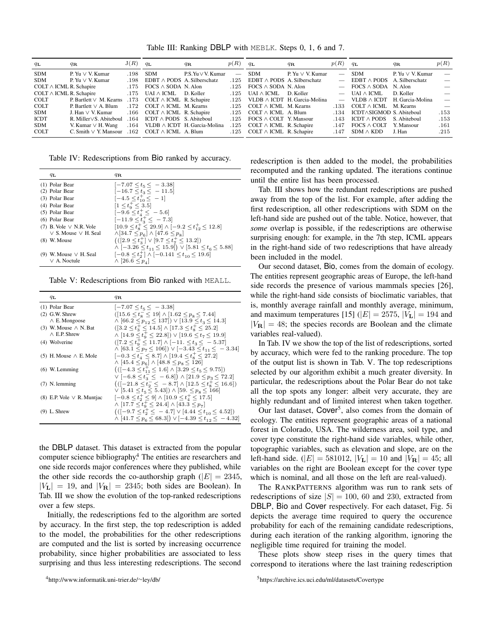Table III: Ranking DBLP with MEBLK. Steps 0, 1, 6 and 7.

| $q_{\mathbf{L}}$ | $q_{\bf R}$                      | J(R) | $q_L$                              | $q_{\bf R}$                                | p(R)                     | $q_L$                                    | $q_{\bf R}$                  | p(R)                     | $q_L$                                      | $q_{\bf R}$                         | p(R)                     |
|------------------|----------------------------------|------|------------------------------------|--------------------------------------------|--------------------------|------------------------------------------|------------------------------|--------------------------|--------------------------------------------|-------------------------------------|--------------------------|
| <b>SDM</b>       | P. Yu $\vee$ V. Kumar            | .198 | <b>SDM</b>                         | $P.S.Yu \vee V.$ Kumar                     | $\overline{\phantom{m}}$ | <b>SDM</b>                               | P. Yu $\vee$ V. Kumar        | $\overline{\phantom{0}}$ | <b>SDM</b>                                 | P. Yu $\vee$ V. Kumar               |                          |
| <b>SDM</b>       | P. Yu $\vee$ V. Kumar            | .198 | $EDBT \wedge PODS$ A. Silberschatz |                                            |                          | $.125$ EDBT $\land$ PODS A. Silberschatz |                              |                          | $\equiv$ EDBT $\land$ PODS A. Silberschatz |                                     | $\overline{\phantom{m}}$ |
|                  | COLT $\wedge$ ICML R. Schapire   | .175 |                                    | FOCS $\wedge$ SODA N. Alon                 | .125                     |                                          | FOCS $\land$ SODA N. Alon    |                          | $-$ FOCS $\wedge$ SODA N. Alon             |                                     | $\overline{\phantom{m}}$ |
|                  | COLT $\wedge$ ICML R. Schapire   | .175 | UAI $\land$ ICML D. Koller         |                                            |                          | $.125$ UAI $\land$ ICML D. Koller        |                              |                          | $-$ UAI $\land$ ICML                       | D. Koller                           | $\overline{\phantom{m}}$ |
| <b>COLT</b>      | P. Bartlett $\vee$ M. Kearns     |      | .173 COLT $\land$ ICML R. Schapire |                                            | .125                     |                                          | VLDB ∧ ICDT H. Garcia-Molina | $\frac{1}{2}$            |                                            | $VLDB \wedge ICDT$ H. Garcia-Molina | $\overline{\phantom{a}}$ |
| COLT             | P. Bartlett $\vee$ A. Blum       |      | .172 COLT $\land$ ICML M. Kearns   |                                            |                          | .125 COLT $\land$ ICML M. Kearns         |                              | .133                     | $COLT \wedge ICML$ M. Kearns               |                                     | $\overline{\phantom{a}}$ |
| <b>SDM</b>       | J. Han ∨ V. Kumar                |      | .166 COLT $\land$ ICML R. Schapire |                                            |                          | .125 COLT $\land$ ICML A. Blum           |                              | .134                     | ICDTASIGMOD S. Abiteboul                   |                                     | .153                     |
| <b>ICDT</b>      | $R$ . Miller $\vee$ S. Abiteboul | .164 | $ICDT \wedge PODS$ S. Abiteboul    |                                            | .125                     | FOCS $\land$ COLT Y. Mansour             |                              | .143                     | ICDT $\land$ PODS                          | S. Abiteboul                        | .153                     |
| <b>SDM</b>       | V. Kumar $\vee$ H. Wang          | .164 |                                    | $VLDB \wedge \text{ICDT}$ H. Garcia-Molina | .125                     | COLT $\land$ ICML R. Schapire            |                              | .147                     | FOCS $\wedge$ COLT                         | Y. Mansour                          | .161                     |
| <b>COLT</b>      | C. Smith $\vee$ Y. Mansour       | .162 | $COLT \wedge \text{ICML}$ A. Blum  |                                            |                          | .125 COLT $\land$ ICML R. Schapire       |                              | .147                     | $SDM \wedge KDD$                           | J. Han                              | .215                     |

Table IV: Redescriptions from Bio ranked by accuracy.

| $q_{\mathbf{L}}$               | $q_{\bf R}$                                                                     |
|--------------------------------|---------------------------------------------------------------------------------|
| (1) Polar Bear                 | $[-7.07 \le t_{\pi} \le -3.38]$                                                 |
| (2) Polar Bear                 | $[-16.7 \le t_{3} \le -11.5]$                                                   |
| (3) Polar Bear                 | $[-4.5 \le t_{10}^+ \le -1]$                                                    |
| (4) Polar Bear                 | $[1 \lt t_{0}^{+} \lt 3.5]$                                                     |
| $(5)$ Polar Bear               | $[-9.6 \le t_4^+ \le -5.6]$                                                     |
| (6) Polar Bear                 | $[-11.9 < t_2^+ < -7.3]$                                                        |
| $(7)$ B. Vole $\vee$ N.R. Vole | $[10.9 < t_s^+ < 29.9] \wedge [-9.2 < t_{12}^+ < 12.8]$                         |
| $\vee$ S. Mouse $\vee$ H. Seal | $\wedge$ [34.7 $\leq$ $p_{\rm s}$ ] $\wedge$ [47.6 $\leq$ $p_{\rm s}$ ]         |
| $(8)$ W. Mouse                 | $((2.9 < t_2^+ \mid \vee \mid 9.7 < t_7^+ < 13.2))$                             |
|                                | $\wedge$ [-3.26 $\leq t_{11} \leq 15.9$ ] $\vee$ [5.81 $\leq t_{6} \leq 5.88$ ] |
| $(9)$ W. Mouse $\vee$ H. Seal  | $[-0.8 < t_2^+] \wedge [-0.141 < t_{10} < 19.6]$                                |
| $\vee$ A. Noctule              | $\wedge$ [26.6 $\leq p_{\rm A}$ ]                                               |

Table V: Redescriptions from Bio ranked with MEALL.

| $q_{\mathbf{L}}$                  | $q_{\bf R}$                                                                    |
|-----------------------------------|--------------------------------------------------------------------------------|
| (1) Polar Bear                    | $ -7.07 \leq t_{\pi} \leq -3.38 $                                              |
| $(2)$ G.W. Shrew                  | $([15.6 \le t_{\rm s}^- \le 19] \wedge [1.62 \le p_{\rm s} \le 7.44]$          |
| $\wedge$ E. Mongoose              | $\wedge$ [66.2 $\leq p_{12} \leq$ 137]) $\vee$ [13.9 $\leq t_3 \leq$ 14.3]     |
| $(3)$ W. Mouse $\wedge$ N. Bat    | $([3.2 \le t^+_3 \le 14.5] \wedge [17.3 \le t^+_8 \le 25.2]$                   |
| $\wedge$ E.P. Shrew               | $\wedge$ [14.9 $\lt t_0^+$ $\lt$ 22.8]) $\vee$ [19.6 $\lt t_7$ $\lt$ 19.9]     |
| (4) Wolverine                     | $([7.2 \le t_{0}^{+} \le 11.7] \wedge [-11. \le t_{2} \le -5.37]$              |
|                                   | $\wedge$ [63.1 $\leq p_7 \leq 106$ ]) $\vee$ [-3.43 $\leq t_{11} \leq -3.34$ ] |
| $(5)$ H. Mouse $\wedge$ E. Mole   | $[-0.3 \le t_{4}^{-} \le 8.7] \wedge [19.4 \le t_{8}^{+} \le 27.2]$            |
|                                   | $\wedge$ [45.4 $\leq$ $p_6$ ] $\wedge$ [48.8 $\leq$ $p_8$ $\leq$ 126]          |
| $(6)$ W. Lemming                  | $(([-4.3 \le t_{11}^+ \le 1.6] \wedge [3.29 \le t_5 \le 9.75])$                |
|                                   | $\vee$ [-6.8 $\leq t_3^ \leq$ -6.8]) $\wedge$ [21.9 $\leq p_3 \leq 72.2$ ]     |
| $(7)$ N. lemming                  | $(([-21.8 < t_2^- < -8.7] \wedge [12.5 < t_8^+ < 16.6])$                       |
|                                   | $\vee$ [5.41 $\lt t_{5} \lt 5.43$ ]) $\wedge$ [59. $\lt p_{8} \lt 166$ ]       |
| $(8)$ E.P. Vole $\vee$ R. Muntjac | $[-0.8 \le t_{2}^{+} \le 9] \wedge [10.9 \le t_{4}^{+} \le 17.5]$              |
|                                   | $\wedge$ [17.7 $\lt t_0^+ \lt 24.4$ ] $\wedge$ [43.3 $\lt p_7$ ]               |
| $(9)$ L. Shrew                    | $(([-9.7 < t2+ < -4.7] \vee [4.44 < t10 < 4.52])$                              |
|                                   | $\wedge$ [41.7 $\leq p_6 \leq$ 68.3]) $\vee$ [-4.39 $\leq t_{12} \leq$ -4.32]  |

the DBLP dataset. This dataset is extracted from the popular computer science bibliography.<sup>4</sup> The entities are researchers and one side records major conferences where they published, while the other side records the co-authorship graph ( $|E| = 2345$ ,  $|V_{L}| = 19$ , and  $|V_{R}| = 2345$ ; both sides are Boolean). In Tab. III we show the evolution of the top-ranked redescriptions over a few steps.

Initially, the redescriptions fed to the algorithm are sorted by accuracy. In the first step, the top redescription is added to the model, the probabilities for the other redescriptions are computed and the list is sorted by increasing occurrence probability, since higher probabilities are associated to less surprising and thus less interesting redescriptions. The second redescription is then added to the model, the probabilities recomputed and the ranking updated. The iterations continue until the entire list has been processed.

Tab. III shows how the redundant redescriptions are pushed away from the top of the list. For example, after adding the first redescription, all other redescriptions with SDM on the left-hand side are pushed out of the table. Notice, however, that *some* overlap is possible, if the redescriptions are otherwise surprising enough: for example, in the 7th step, ICML appears in the right-hand side of two redescriptions that have already been included in the model.

Our second dataset, Bio, comes from the domain of ecology. The entities represent geographic areas of Europe, the left-hand side records the presence of various mammals species [26], while the right-hand side consists of bioclimatic variables, that is, monthly average rainfall and monthly average, minimum, and maximum temperatures [15] ( $|E| = 2575$ ,  $|V_L| = 194$  and  $|V_{\bf R}| = 48$ ; the species records are Boolean and the climate variables real-valued).

In Tab. IV we show the top of the list of redescriptions, sorted by accuracy, which were fed to the ranking procedure. The top of the output list is shown in Tab. V. The top redescriptions selected by our algorithm exhibit a much greater diversity. In particular, the redescriptions about the Polar Bear do not take all the top spots any longer: albeit very accurate, they are highly redundant and of limited interest when taken together.

Our last dataset, Cover<sup>5</sup>, also comes from the domain of ecology. The entities represent geographic areas of a national forest in Colorado, USA. The wilderness area, soil type, and cover type constitute the right-hand side variables, while other, topographic variables, such as elevation and slope, are on the left-hand side. ( $|E| = 581012$ ,  $|V_{L}| = 10$  and  $|V_{R}| = 45$ ; all variables on the right are Boolean except for the cover type which is nominal, and all those on the left are real-valued).

The RANKPATTERNS algorithm was run to rank sets of redescriptions of size  $|S| = 100$ , 60 and 230, extracted from DBLP, Bio and Cover respectively. For each dataset, Fig. 5i depicts the average time required to query the occurence probability for each of the remaining candidate redescriptions, during each iteration of the ranking algorithm, ignoring the negligible time required for training the model.

These plots show steep rises in the query times that correspond to iterations where the last training redescription

<sup>4</sup>http://www.informatik.uni-trier.de/∼ley/db/

<sup>5</sup>https://archive.ics.uci.edu/ml/datasets/Covertype